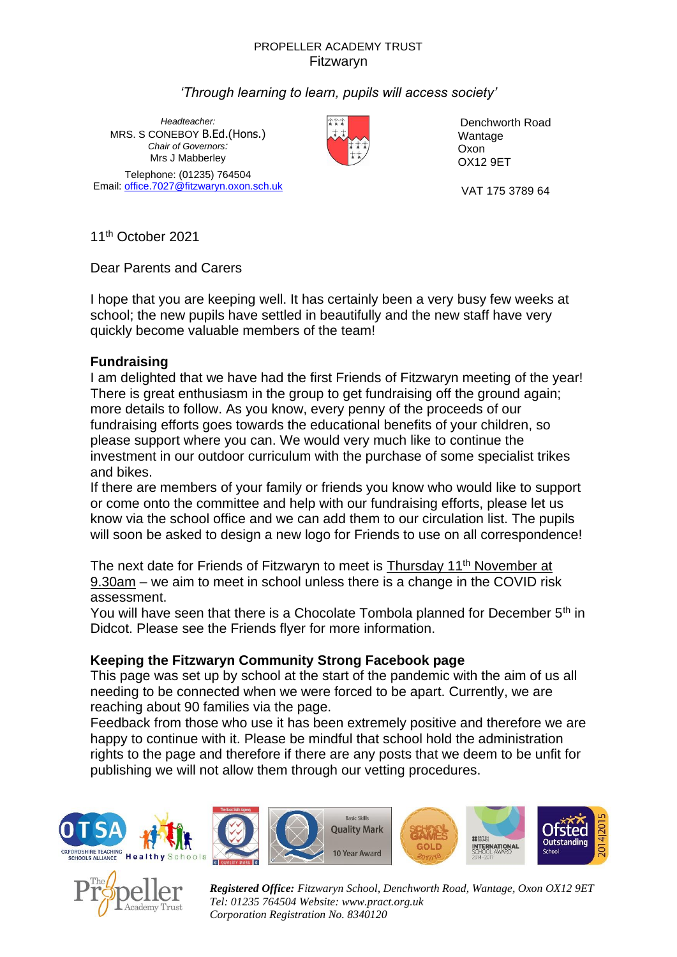#### PROPELLER ACADEMY TRUST Fitzwaryn

# *'Through learning to learn, pupils will access society'*

*Headteacher:* MRS. S CONEBOY B.Ed.(Hons.) *Chair of Governors:* Mrs J Mabberley Telephone: (01235) 764504 Email[: office.7027@fitzwaryn.oxon.sch.uk](mailto:office.7027@fitzwaryn.oxon.sch.uk) VAT 175 3789 64



Denchworth Road Wantage Oxon OX12 9ET

11th October 2021

Dear Parents and Carers

I hope that you are keeping well. It has certainly been a very busy few weeks at school; the new pupils have settled in beautifully and the new staff have very quickly become valuable members of the team!

## **Fundraising**

I am delighted that we have had the first Friends of Fitzwaryn meeting of the year! There is great enthusiasm in the group to get fundraising off the ground again; more details to follow. As you know, every penny of the proceeds of our fundraising efforts goes towards the educational benefits of your children, so please support where you can. We would very much like to continue the investment in our outdoor curriculum with the purchase of some specialist trikes and bikes.

If there are members of your family or friends you know who would like to support or come onto the committee and help with our fundraising efforts, please let us know via the school office and we can add them to our circulation list. The pupils will soon be asked to design a new logo for Friends to use on all correspondence!

The next date for Friends of Fitzwaryn to meet is Thursday 11<sup>th</sup> November at 9.30am – we aim to meet in school unless there is a change in the COVID risk assessment.

You will have seen that there is a Chocolate Tombola planned for December 5<sup>th</sup> in Didcot. Please see the Friends flyer for more information.

## **Keeping the Fitzwaryn Community Strong Facebook page**

This page was set up by school at the start of the pandemic with the aim of us all needing to be connected when we were forced to be apart. Currently, we are reaching about 90 families via the page.

Feedback from those who use it has been extremely positive and therefore we are happy to continue with it. Please be mindful that school hold the administration rights to the page and therefore if there are any posts that we deem to be unfit for publishing we will not allow them through our vetting procedures.











*Registered Office: Fitzwaryn School, Denchworth Road, Wantage, Oxon OX12 9ET Tel: 01235 764504 Website: www.pract.org.uk Corporation Registration No. 8340120*